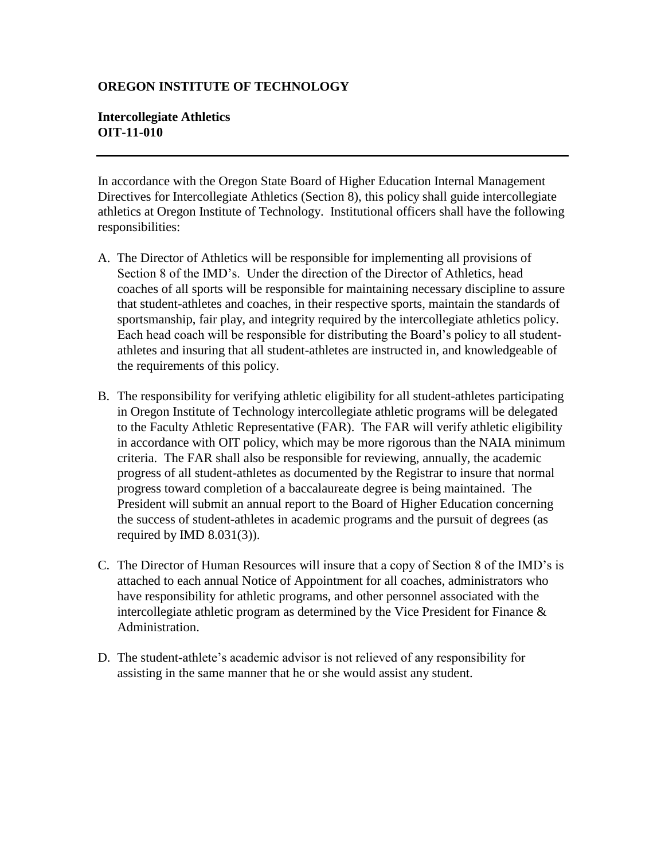## **OREGON INSTITUTE OF TECHNOLOGY**

## **Intercollegiate Athletics OIT-11-010**

In accordance with the Oregon State Board of Higher Education Internal Management Directives for Intercollegiate Athletics (Section 8), this policy shall guide intercollegiate athletics at Oregon Institute of Technology. Institutional officers shall have the following responsibilities:

- A. The Director of Athletics will be responsible for implementing all provisions of Section 8 of the IMD's. Under the direction of the Director of Athletics, head coaches of all sports will be responsible for maintaining necessary discipline to assure that student-athletes and coaches, in their respective sports, maintain the standards of sportsmanship, fair play, and integrity required by the intercollegiate athletics policy. Each head coach will be responsible for distributing the Board's policy to all studentathletes and insuring that all student-athletes are instructed in, and knowledgeable of the requirements of this policy.
- B. The responsibility for verifying athletic eligibility for all student-athletes participating in Oregon Institute of Technology intercollegiate athletic programs will be delegated to the Faculty Athletic Representative (FAR). The FAR will verify athletic eligibility in accordance with OIT policy, which may be more rigorous than the NAIA minimum criteria. The FAR shall also be responsible for reviewing, annually, the academic progress of all student-athletes as documented by the Registrar to insure that normal progress toward completion of a baccalaureate degree is being maintained. The President will submit an annual report to the Board of Higher Education concerning the success of student-athletes in academic programs and the pursuit of degrees (as required by IMD  $8.031(3)$ ).
- C. The Director of Human Resources will insure that a copy of Section 8 of the IMD's is attached to each annual Notice of Appointment for all coaches, administrators who have responsibility for athletic programs, and other personnel associated with the intercollegiate athletic program as determined by the Vice President for Finance  $\&$ Administration.
- D. The student-athlete's academic advisor is not relieved of any responsibility for assisting in the same manner that he or she would assist any student.